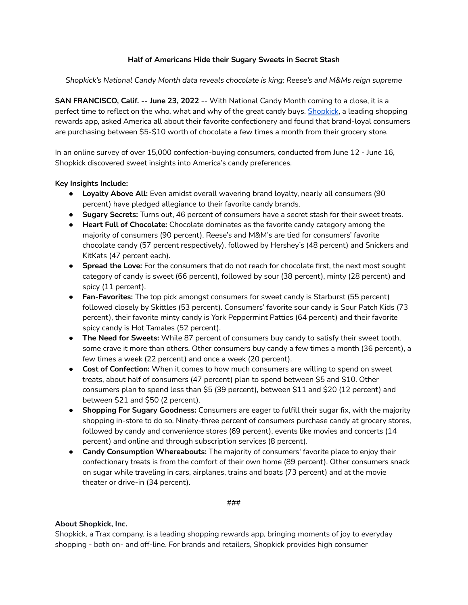## **Half of Americans Hide their Sugary Sweets in Secret Stash**

*Shopkick's National Candy Month data reveals chocolate is king; Reese's and M&Ms reign supreme*

**SAN FRANCISCO, Calif. -- June 23, 2022** -- With National Candy Month coming to a close, it is a perfect time to reflect on the who, what and why of the great candy buys. [Shopkick](https://www.shopkick.com/), a leading shopping rewards app, asked America all about their favorite confectionery and found that brand-loyal consumers are purchasing between \$5-\$10 worth of chocolate a few times a month from their grocery store.

In an online survey of over 15,000 confection-buying consumers, conducted from June 12 - June 16, Shopkick discovered sweet insights into America's candy preferences.

## **Key Insights Include:**

- **● Loyalty Above All:** Even amidst overall wavering brand loyalty, nearly all consumers (90 percent) have pledged allegiance to their favorite candy brands.
- **Sugary Secrets:** Turns out, 46 percent of consumers have a secret stash for their sweet treats.
- **Heart Full of Chocolate:** Chocolate dominates as the favorite candy category among the majority of consumers (90 percent). Reese's and M&M's are tied for consumers' favorite chocolate candy (57 percent respectively), followed by Hershey's (48 percent) and Snickers and KitKats (47 percent each).
- **Spread the Love:** For the consumers that do not reach for chocolate first, the next most sought category of candy is sweet (66 percent), followed by sour (38 percent), minty (28 percent) and spicy (11 percent).
- **● Fan-Favorites:** The top pick amongst consumers for sweet candy is Starburst (55 percent) followed closely by Skittles (53 percent). Consumers' favorite sour candy is Sour Patch Kids (73 percent), their favorite minty candy is York Peppermint Patties (64 percent) and their favorite spicy candy is Hot Tamales (52 percent).
- **● The Need for Sweets:** While 87 percent of consumers buy candy to satisfy their sweet tooth, some crave it more than others. Other consumers buy candy a few times a month (36 percent), a few times a week (22 percent) and once a week (20 percent).
- **● Cost of Confection:** When it comes to how much consumers are willing to spend on sweet treats, about half of consumers (47 percent) plan to spend between \$5 and \$10. Other consumers plan to spend less than \$5 (39 percent), between \$11 and \$20 (12 percent) and between \$21 and \$50 (2 percent).
- **Shopping For Sugary Goodness:** Consumers are eager to fulfill their sugar fix, with the majority shopping in-store to do so. Ninety-three percent of consumers purchase candy at grocery stores, followed by candy and convenience stores (69 percent), events like movies and concerts (14 percent) and online and through subscription services (8 percent).
- **Candy Consumption Whereabouts:** The majority of consumers' favorite place to enjoy their confectionary treats is from the comfort of their own home (89 percent). Other consumers snack on sugar while traveling in cars, airplanes, trains and boats (73 percent) and at the movie theater or drive-in (34 percent).

## ###

## **About Shopkick, Inc.**

Shopkick, a Trax company, is a leading shopping rewards app, bringing moments of joy to everyday shopping - both on- and off-line. For brands and retailers, Shopkick provides high consumer